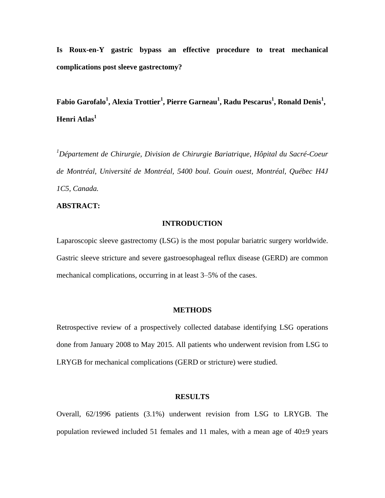**Is Roux-en-Y gastric bypass an effective procedure to treat mechanical complications post sleeve gastrectomy?** 

**Fabio Garofalo<sup>1</sup> , Alexia Trottier<sup>1</sup> , Pierre Garneau 1 , Radu Pescarus<sup>1</sup> , Ronald Denis<sup>1</sup> , Henri Atlas<sup>1</sup>**

*<sup>1</sup>Département de Chirurgie, Division de Chirurgie Bariatrique, Hôpital du Sacré-Coeur de Montréal, Université de Montréal, 5400 boul. Gouin ouest, Montréal, Québec H4J 1C5, Canada.*

# **ABSTRACT:**

# **INTRODUCTION**

Laparoscopic sleeve gastrectomy (LSG) is the most popular bariatric surgery worldwide. Gastric sleeve stricture and severe gastroesophageal reflux disease (GERD) are common mechanical complications, occurring in at least 3–5% of the cases.

### **METHODS**

Retrospective review of a prospectively collected database identifying LSG operations done from January 2008 to May 2015. All patients who underwent revision from LSG to LRYGB for mechanical complications (GERD or stricture) were studied.

#### **RESULTS**

Overall, 62/1996 patients (3.1%) underwent revision from LSG to LRYGB. The population reviewed included 51 females and 11 males, with a mean age of  $40\pm9$  years